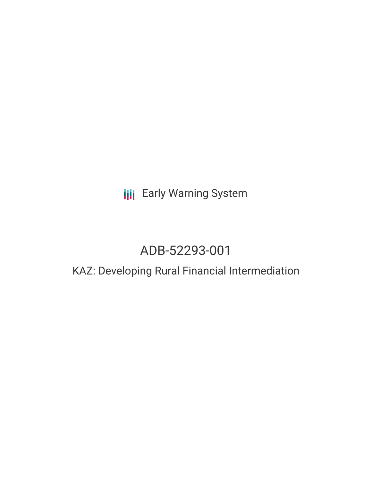# **III** Early Warning System

# ADB-52293-001

## KAZ: Developing Rural Financial Intermediation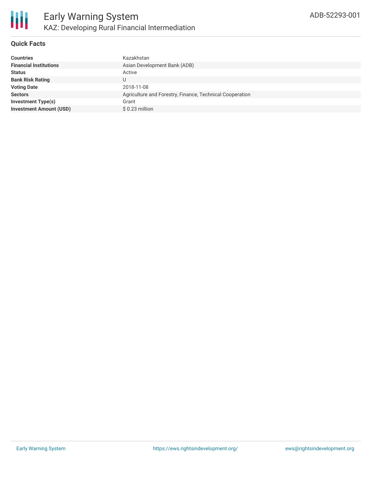

#### **Quick Facts**

| <b>Countries</b>               | Kazakhstan                                               |
|--------------------------------|----------------------------------------------------------|
| <b>Financial Institutions</b>  | Asian Development Bank (ADB)                             |
| <b>Status</b>                  | Active                                                   |
| <b>Bank Risk Rating</b>        | U                                                        |
| <b>Voting Date</b>             | 2018-11-08                                               |
| <b>Sectors</b>                 | Agriculture and Forestry, Finance, Technical Cooperation |
| <b>Investment Type(s)</b>      | Grant                                                    |
| <b>Investment Amount (USD)</b> | $$0.23$ million                                          |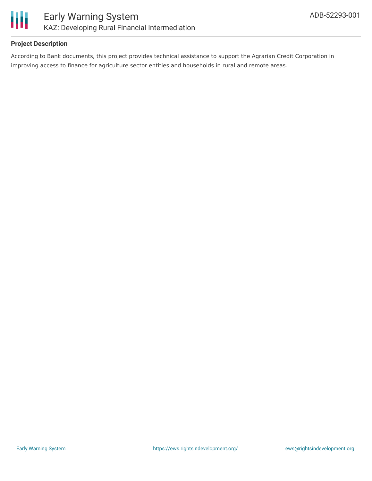

#### **Project Description**

According to Bank documents, this project provides technical assistance to support the Agrarian Credit Corporation in improving access to finance for agriculture sector entities and households in rural and remote areas.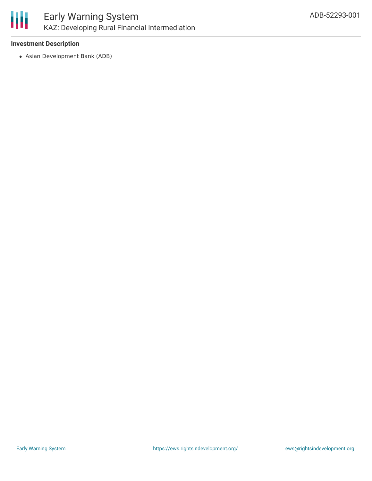

## Early Warning System KAZ: Developing Rural Financial Intermediation

#### **Investment Description**

Asian Development Bank (ADB)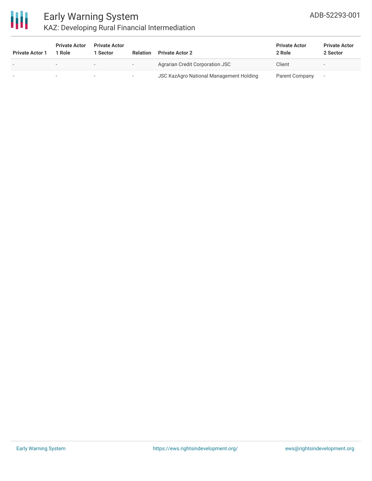

### Early Warning System KAZ: Developing Rural Financial Intermediation

| <b>Private Actor 1</b> | <b>Private Actor</b><br>1 Role | <b>Private Actor</b><br>Sector | <b>Relation</b>          | <b>Private Actor 2</b>                         | <b>Private Actor</b><br>2 Role | <b>Private Actor</b><br>2 Sector |
|------------------------|--------------------------------|--------------------------------|--------------------------|------------------------------------------------|--------------------------------|----------------------------------|
|                        | $\overline{\phantom{0}}$       | $\overline{\phantom{a}}$       | $\overline{\phantom{0}}$ | <b>Agrarian Credit Corporation JSC</b>         | Client                         |                                  |
|                        |                                |                                |                          | <b>JSC KazAgro National Management Holding</b> | Parent Company                 |                                  |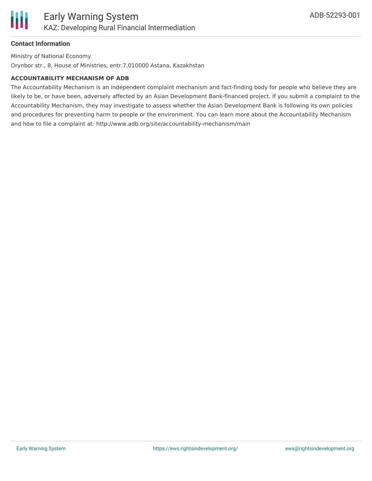#### **Contact Information**

Ministry of National Economy

Orynbor str., 8, House of Ministries, entr.7,010000 Astana, Kazakhstan

#### **ACCOUNTABILITY MECHANISM OF ADB**

The Accountability Mechanism is an independent complaint mechanism and fact-finding body for people who believe they are likely to be, or have been, adversely affected by an Asian Development Bank-financed project. If you submit a complaint to the Accountability Mechanism, they may investigate to assess whether the Asian Development Bank is following its own policies and procedures for preventing harm to people or the environment. You can learn more about the Accountability Mechanism and how to file a complaint at: http://www.adb.org/site/accountability-mechanism/main